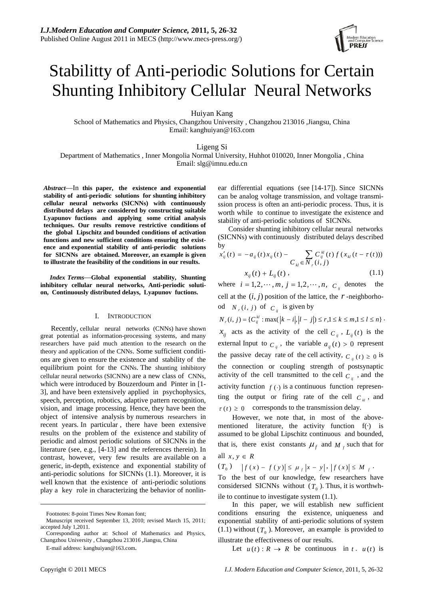

# Stabilitty of Anti-periodic Solutions for Certain Shunting Inhibitory Cellular Neural Networks

Huiyan Kang

School of Mathematics and Physics, Changzhou University , Changzhou 213016 ,Jiangsu, China Email: kanghuiyan@163.com

Ligeng Si

Department of Mathematics , Inner Mongolia Normal University, Huhhot 010020, Inner Mongolia , China Email: slg@imnu.edu.cn

*Abstract*—In **this paper, the existence and exponential stability of anti-periodic solutions for shunting inhibitory cellular neural networks (SICNNs) with continuously distributed delays are considered by constructing suitable Lyapunov fuctions and applying some critial analysis techniques. Our results remove restrictive conditions of the global Lipschitz and bounded conditions of activation functions and new sufficient conditions ensuring the existence and exponential stability of anti-periodic solutions for SICNNs are obtained. Moreover, an example is given to illustrate the feasibility of the conditions in our results.** 

*Index Terms*—**Global exponential stability, Shunting inhibitory cellular neural networks, Anti-periodic solution, Continuously distributed delays, Lyapunov fuctions.**

#### I. INTRODUCTION

Recently, cellular neural networks (CNNs) have shown great potential as information-processing systems, and many researchers have paid much attention to the research on the theory and application of the CNNs. Some sufficient conditions are given to ensure the existence and stability of the equilibrium point for the CNNs. The shunting inhibitory cellular neural networks (SICNNs) are a new class of CNNs, which were introduced by Bouzerdoum and Pinter in [1- 3], and have been extensively applied in psychophysics, speech, perception, robotics, adaptive pattern recognition, vision, and image processing. Hence, they have been the object of intensive analysis by numerous researchers in recent years. In particular , there have been extensive results on the problem of the existence and stability of periodic and almost periodic solutions of SICNNs in the literature (see, e.g., [4-13] and the references therein). In contrast, however, very few results are available on a generic, in-depth, existence and exponential stability of anti-periodic solutions for SICNNs (1.1). Moreover, it is well known that the existence of anti-periodic solutions play a key role in characterizing the behavior of nonlinear differential equations (see [14-17]). Since SICNNs can be analog voltage transmission, and voltage transmission process is often an anti-periodic process. Thus, it is worth while to continue to investigate the existence and stability of anti-periodic solutions of SICNNs.

Consider shunting inhibitory cellular neural networks (SICNNs) with continuously distributed delays described by

$$
x'_{ij}(t) = -a_{ij}(t)x_{ij}(t) - \sum_{\ell} C^{kl}_{ij}(t) f(x_{kl}(t - \tau(t)))
$$

$$
x_{ij}(t) + L_{ij}(t), \tag{1.1}
$$

where  $i = 1, 2, \dots, m$ ,  $j = 1, 2, \dots, n$ ,  $C_{ij}$  denotes the cell at the  $(i, j)$  position of the lattice, the  $r$ -neighborhood  $N_r(i, j)$  of  $C_{ij}$  is given by

 $N_r(i, j) = {C_{ij}^k : \max(|k - i|, |l - j|) \le r, 1 \le k \le m, 1 \le l \le n}$  $x_{ij}$  acts as the activity of the cell  $C_{ij}$ ,  $L_{ij}(t)$  is the external Input to  $C_{ij}$ , the variable  $a_{ij}(t) > 0$  represent the passive decay rate of the cell activity,  $C_{ii}(t) \ge 0$  is the connection or coupling strength of postsynaptic activity of the cell transmitted to the cell  $C_{ij}$ , and the activity function  $f(\cdot)$  is a continuous function representing the output or firing rate of the cell  $C_{k}$ , and  $\tau(t) \geq 0$  corresponds to the transmission delay.

However, we note that, in most of the abovementioned literature, the activity function  $f(\cdot)$  is assumed to be global Lipschitz continuous and bounded, that is, there exist constants  $\mu_f$  and  $M_f$  such that for all  $x, y \in R$ 

 $(T_0)$   $|f(x) - f(y)| \leq \mu_f |x - y|, |f(x)| \leq M_f$ .

To the best of our knowledge, few researchers have considersed SICNNs without  $(T_0)$ . Thus, it is worthwhile to continue to investigate system (1.1).

In this paper, we will establish new sufficient conditions ensuring the existence, uniqueness and exponential stability of anti-periodic solutions of system (1.1) without  $(T_0)$ . Moreover, an example is provided to illustrate the effectiveness of our results.

Let  $u(t): R \to R$  be continuous in  $t \cdot u(t)$  is

Footnotes: 8-point Times New Roman font;

Manuscript received September 13, 2010; revised March 15, 2011; accepted July 1,2011.

Corresponding author at: School of Mathematics and Physics, Changzhou University , Changzhou 213016 ,Jiangsu, China

E-mail address: kanghuiyan@163.com.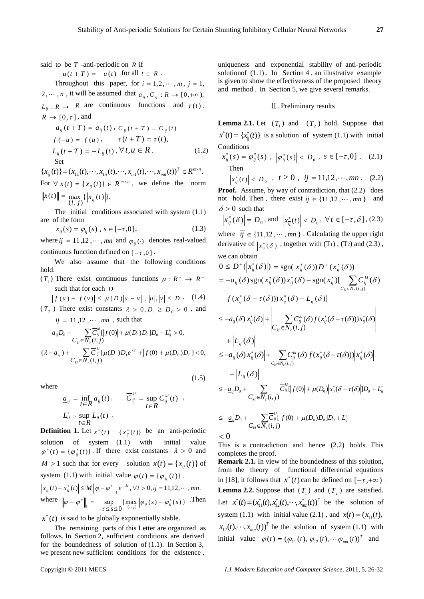said to be *T* -anti-periodic on *R* if

 $u(t+T) = -u(t)$  for all  $t \in R$ .

Throughout this paper, for  $i = 1, 2, \dots, m$ ,  $i = 1$ , 2,  $\cdots$ , *n*, it will be assumed that  $a_{ij}$ ,  $C_{ij}$ :  $R \rightarrow [0, +\infty)$ ,  $L_{ii}: R \to R$  are continuous functions and  $\tau(t)$ :  $R \rightarrow [0, \tau]$ , and

$$
a_{ij}(t+T) = a_{ij}(t), C_{ij}(t+T) = C_{ij}(t)
$$
  
\n
$$
f(-u) = f(u), \qquad \tau(t+T) = \tau(t),
$$
  
\n
$$
L_{ij}(t+T) = -L_{ij}(t), \forall t, u \in R.
$$
 (1.2)  
\nSet

$$
\{x_{ij}(t)\} = (x_{11}(t), \cdots, x_{1n}(t), \cdots, x_{m1}(t), \cdots, x_{mn}(t))^T \in R^{m \times n}.
$$
  
For  $\forall$   $\mu(t)$ ,  $\mu(t)$ ,  $(\mu(t)) = R^{m \times n}$ , we define the norm

For  $\forall x(t) = \{x_{ii}(t)\}\in \mathbb{R}^{m \times n}$ , we define the norm  $\|x(t)\| = \max_{(i,j)} \{|x_{ij}(t)|\}.$ 

The initial conditions associated with system (1.1) are of the form

$$
x_{ij}(s) = \varphi_{ij}(s) \, , \, s \in [-\tau, 0] \, , \tag{1.3}
$$

where  $ij = 11,12, \cdots, mn$  and  $\varphi_{ij}(\cdot)$  denotes real-valued continuous function defined on  $[-\tau, 0]$ .

We also assume that the following conditions hold.

 $(T_1)$  There exist continuous functions  $\mu : R^+ \to R^+$ such that for each *D*

 $|f(u) - f(v)| \le \mu(D)|u - v|, |u|, |v| \le D$  (1.4)  $(T_2)$  There exist constants  $\lambda > 0, D_1 \ge D_0 > 0$ , and

 $ij = 11,12,\cdots, mn$ , such that

$$
\underline{a}_{ij}D_0 - \sum_{C_{kl} \in \mathcal{N}_r(i,j)} \overline{C}_{ij}^{kl} |f(0)| + \mu(D_0)D_0]D_0 - L_{ij}^+ > 0,
$$
  

$$
(\lambda - \underline{a}_{ij}) + \sum_{C_{kl} \in \mathcal{N}_r(i,j)} \overline{C}_{ij}^{kl} [\mu(D_1)D_1 e^{\lambda \tau} + |f(0)| + \mu(D_0)D_0] < 0,
$$

 $(1.5)$ 

where

$$
\underline{a}_{ij} = \inf_{t \in R} a_{ij}(t), \qquad \overline{C}_{ij}^{kl} = \sup_{t \in R} C_{ij}^{kl}(t) ,
$$
  

$$
L_{ij}^{+} > \sup_{t \in R} L_{ij}(t) .
$$

**Definition 1.** Let  $x^*(t) = \{x^*_{ij}(t)\}$  be an anti-periodic solution of system  $(1.1)$  with initial value  $\varphi^*(t) = {\varphi_{ij}^*(t)}$ . If there exist constants  $\lambda > 0$  and *M* > 1 such that for every solution  $x(t) = \{x_{ii}(t)\}\$  of system (1.1) with initial value  $\varphi(t) = {\varphi_{ii}(t)}$ .  $\left| x_{ij}(t) - x_{ij}^*(t) \right| \leq M \left\| \varphi - \varphi^* \right\|_1 e^{-\lambda t}, \forall t > 0, ij = 11,12,\cdots, mn.$ where  $\|\varphi - \varphi^*\|$  = sup {max  $|\varphi_{ii}(s) - \varphi_{ii}^*(s)|$ }  $\left\|\varphi - \varphi^*\right\|_1 = \sup_{-\tau \leq s \leq 0} \{ \max_{(i,j)} \left| \varphi_{ij}(s) - \varphi^*_{ij}(s) \right| \}$ . Then

 $x^*(t)$  is said to be globally exponentially stable.

The remaining parts of this Letter are organized as follows. In Section 2, sufficient conditions are derived for the boundedness of solution of (1.1). In Section 3, we present new sufficient conditions for the existence ,

uniqueness and exponential stability of anti-periodic solution of  $(1.1)$ . In Section 4, an illustrative example is given to show the effectiveness of the proposed theory and method . In Section 5, we give several remarks.

### Ⅱ. Preliminary results

**Lemma 2.1.** Let  $(T_1)$  and  $(T_2)$  hold. Suppose that  $x^*(t) = \{x^*_{ij}(t)\}\$ is a solution of system (1.1) with initial **Conditions** 

$$
x_{ij}^*(s) = \varphi_{ij}^*(s) , |\varphi_{ij}^*(s)| < D_0 , s \in [-\tau, 0] . (2.1)
$$
  
Then

$$
|x_{ij}^*(t)| < D_0
$$
,  $t \ge 0$ ,  $ij = 11,12,\cdots, mn$ . (2.2)

**Proof.** Assume, by way of contradiction, that  $(2.2)$  does not hold. Then, there exist  $ij \in \{11, 12, \dots, mn\}$  and  $\delta$  > 0 such that

$$
\left| x_{ij}^* (\delta) \right| = D_0, \text{ and } \left| x_{ij}^* (t) \right| < D_0, \ \forall t \in [-\tau, \delta], (2.3)
$$

where  $ij \in \{11, 12, \dots, mn\}$ . Calculating the upper right derivative of  $|x_{ij}^*(\delta)|$ , together with (T<sub>1</sub>), (T<sub>2</sub>) and (2.3), we can obtain

$$
0 \leq D^+(\vert x_{ij}^*(\delta) \vert) = \text{sgn}(\ x_{ij}^*(\delta)) D^+(\ x_{ij}^*(\delta))
$$
  
\n
$$
= -a_{ij}(\delta) \text{sgn}(x_{ij}^*(\delta)) x_{ij}^*(\delta) - \text{sgn}(x_{ij}^*) \Big[ \sum_{C_{kl} \in N_r(i,j)} C_{ij}^{kl}(\delta)
$$
  
\n
$$
f(x_{ij}^*(\delta - \tau(\delta))) x_{ij}^*(\delta) - L_{ij}(\delta) \Big]
$$
  
\n
$$
\leq -a_{ij}(\delta) \Big| x_{ij}^*(\delta) \Big| + \Big| \sum_{C_{kl} \in N_r(i,j)} C_{ij}^{kl}(\delta) f(x_{ij}^*(\delta - \tau(\delta))) x_{ij}^*(\delta) \Big|
$$
  
\n
$$
\leq -a_{ij}(\delta) \Big| x_{ij}^*(\delta) \Big| + \sum_{C_{kl} \in N_r(i,j)} C_{ij}^{kl}(\delta) \Big| f(x_{ij}^*(\delta - \tau(\delta))) \Big| x_{ij}^*(\delta) \Big|
$$
  
\n
$$
+ \Big| L_{ij}(\delta) \Big|
$$
  
\n
$$
\leq -a_{ij}D_0 + \sum_{C_{kl} \in N_r(i,j)} \overline{C}_{ij}^{kl} \Big| f(0) \Big| + \mu(D_0) \Big| x_{ij}^*(\delta - \tau(\delta)) \Big| D_0 + L_{ij}^*
$$

$$
\leq -\underline{a}_{ij}D_0 + \sum_{C_{kl} \in N_r(i,j)} \overline{C}_{ij}^{kl} [f(0)] + \mu(D_0)D_0]D_0 + L_{ij}^* < 0
$$

This is a contradiction and hence (2.2) holds. This completes the proof.

**Remark 2.1.** In view of the boundedness of this solution, from the theory of functional differential equations in [18], it follows that  $x^*(t)$  can be defined on  $[-\tau, +\infty)$ . **Lemma 2.2.** Suppose that  $(T_1)$  and  $(T_2)$  are satisfied. Let  $x^*(t) = (x_{11}^*(t), x_{12}^*(t), \cdots, x_{mn}^*(t))$ <sup>T</sup> be the solution of system (1.1) with initial value (2.1), and  $x(t) = (x_{11}(t))$ ,  $x_{12}(t)$ ,  $\cdots$ ,  $x_{mn}(t)$ <sup>T</sup> be the solution of system (1.1) with initial value  $\varphi(t) = (\varphi_{11}(t), \varphi_{12}(t), \cdots \varphi_{mn}(t))^T$  and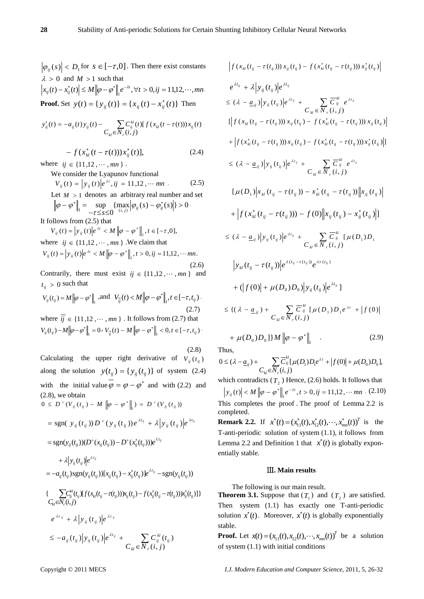$|\varphi_{ii}(s)| < D_i$  for  $s \in [-\tau, 0]$ . Then there exist constants  $\lambda > 0$  and  $M > 1$  such that

$$
\left| x_{ij}(t) - x_{ij}^*(t) \right| \le M \left\| \varphi - \varphi^* \right\|_1 e^{-\lambda t}, \forall t > 0, ij = 11,12,\cdots, mn.
$$
  
**Proof.** Set  $y(t) = \{ y_{ij}(t) \} = \{ x_{ij}(t) - x_{ij}^*(t) \}$  Then

$$
y'_{ij}(t) = -a_{ij}(t) y_{ij}(t) - \sum_{C_{kl} \in N_r(i,j)} C_{ij}^{kl}(t) [f(x_{kl}(t - \tau(t))) x_{ij}(t)
$$

$$
- f(x_{kl}^*(t - \tau(t)))x_{ij}^*(t)], \qquad (2.4)
$$

where  $ij \in \{11, 12, \dots, mn\}$ .

We consider the Lyapunov functional  $V_{ij}(t) = |y_{ij}(t)|e^{\lambda t}$ ,  $ij = 11,12, \cdots mn$  (2.5) Let  $M > 1$  denotes an arbitrary real number and set  $\{\max |\varphi_{ii}(s) - \varphi_{ii}^*(s)|\} > 0$  $\|\sigma_{ij} = \sup_{-\tau \leq s \leq 0} \{\max_{(i,j)} |\varphi_{ij}(s) - \varphi_{ij}^*(s)|\}$ τ  $\|\varphi - \varphi^*\| = \sup \{\max |\varphi_{ii}(s) - \varphi^*_{ii}(s)|\} > 0$ . It follows from (2.5) that

$$
V_{ij}(t) = |y_{ij}(t)|e^{\lambda t} < M ||\varphi - \varphi^*||_1, t \in [-\tau, 0],
$$
  
where  $ij \in \{11, 12, \dots, mn\}$ . We claim that  

$$
V_{ij}(t) = |y_{ij}(t)|e^{\lambda t} < M ||\varphi - \varphi^*||_1, t > 0, ij = 11, 12, \dots mn.
$$
  
(2.6)

Contrarily, there must exist  $ij \in \{11, 12, \dots, mn\}$  and  $t_{ii} > 0$  such that

$$
V_{ij}(t_{ij}) = M ||\varphi - \varphi^*||_1, \text{ and } V_{ij}(t) < M ||\varphi - \varphi^*||_1, t \in [-\tau, t_{ij}).
$$
\n(2.7)

where  $\overline{ij} \in \{11, 12, \dots, mn\}$ . It follows from (2.7) that  $V_{ij}(t_{ij}) - M \left\| \varphi - \varphi^* \right\|_1 = 0, \; V_{\overline{ij}}(t) - M \left\| \varphi - \varphi^* \right\|_1 < 0, t \in [-\tau, t_{ij})$ 

(2.8) Calculating the upper right derivative of  $V_{ii}(t_{ii})$ along the solution  $y(t_{ij}) = { y_{ij}(t_{ij}) }$  of system (2.4) with the initial value  $\varphi = \varphi - \varphi^*$  and with (2.2) and (2.8), we obtain

$$
0 \leq D^+(V_{ij}(t_{ij}) - M \|\varphi - \varphi^*\|_1) = D^+(V_{ij}(t_{ij}))
$$
  
\n
$$
= sgn(V_{ij}(t_{ij}))D^+(y_{ij}(t_{ij}))e^{\lambda t_{ij}} + \lambda |y_{ij}(t_{ij})|e^{\lambda t_{ij}}
$$
  
\n
$$
= sgn(y_{ij}(t_{ij}))(D^+(x_{ij}(t_{ij})) - D^+(x_{ij}^*(t_{ij})))e^{\lambda t_{ij}}
$$
  
\n
$$
+ \lambda |y_{ij}(t_{ij})|e^{\lambda t_{ij}}
$$
  
\n
$$
= -a_{ij}(t_{ij})sgn(y_{ij}(t_{ij}))[x_{ij}(t_{ij}) - x_{ij}^*(t_{ij})]e^{\lambda t_{ij}} - sgn(y_{ij}(t_{ij}))
$$
  
\n
$$
\{\sum_{k,l} C_{ij}^{kl}(t_{ij})[f(x_{kl}(t_{ij} - \tau(t_{ij})))x_{ij}(t_{ij}) - f(x_{ij}^*(t_{ij} - \tau(t_{ij})))x_{ij}^*(t_{ij})]\}
$$
  
\n
$$
e^{\lambda t_{ij}} + \lambda |y_{ij}(t_{ij})|e^{\lambda t_{ij}}
$$
  
\n
$$
\leq -a_{ij}(t_{ij})|y_{ij}(t_{ij})|e^{\lambda t_{ij}} + \sum_{k,l} C_{kj}^{kl}(t_{ij})
$$

$$
\begin{split}\n&|f(x_{kl}(t_{ij}-\tau(t_{ij})))(x_{ij}(t_{ij})-f(x_{kl}^*(t_{ij}-\tau(t_{ij})))x_{ij}^*(t_{ij})| \\
&e^{\lambda t_{ij}}+\lambda|y_{ij}(t_{ij})|e^{\lambda t_{ij}} \\
&\leq (\lambda-\underline{a}_{ij})|y_{ij}(t_{ij})|e^{\lambda t_{ij}} + \sum_{C_{kl}\in N_r} \overline{C}_{ij}^{\mu} e^{\lambda t_{ij}} \\
&[|f(x_{kl}(t_{ij}-\tau(t_{ij})))x_{ij}(t_{ij})-f(x_{kl}^*(t_{ij}-\tau(t_{ij})))x_{ij}(t_{ij})| \\
&+|f(x_{kl}^*(t_{ij}-\tau(t_{ij})))x_{ij}(t_{ij})-f(x_{kl}^*(t_{ij}-\tau(t_{ij})))x_{ij}^*(t_{ij})|] \\
&\leq (\lambda-\underline{a}_{ij})|y_{ij}(t_{ij})|e^{\lambda t_{ij}} + \sum_{C_{kl}\in N_r} \overline{C}_{ij}^{\mu} e^{\lambda t_{ij}} \\
&[ \mu(D_1)|x_{kl}(t_{ij}-\tau(t_{ij})) - x_{kl}^*(t_{ij}-\tau(t_{ij}))\big||x_{ij}(t_{ij})| \\
&+|f(x_{kl}^*(t_{ij}-\tau(t_{ij}))) - f(0)||x_{ij}(t_{ij}) - x_{ij}^*(t_{ij})|] \\
&\leq (\lambda-\underline{a}_{ij})|y_{ij}(t_{ij})|e^{\lambda t_{ij}} + \sum_{C_{kl}\in N_r} \overline{C}_{ij}^{\mu} [\mu(D_1)D_1] \\
&[ y_{kl}(t_{ij}-\tau(t_{ij}))|e^{\lambda (t_{ij}-\tau(t_{ij}))}e^{\lambda \tau(t_{ij})} \\
&+ (|f(0)| + \mu(D_0)D_0)|y_{ij}(t_{ij})|e^{\lambda t_{ij}}] \\
&\leq \{(\lambda-\underline{a}_{ij}) + \sum_{C_{kl}\in N_r}(i,j)\n\end{split}
$$

+ 
$$
\mu(D_0)D_0
$$
 ]  $M \|\varphi - \varphi^*\|_1$  . (2.9)

Thus,

$$
0 \le (\lambda - \underline{a}_{ij}) + \sum_{C_{kl} \in N_r(i,j)} \overline{C}_{ij}^{kl} [\mu(D_i) D_i e^{\lambda \tau} + |f(0)| + \mu(D_0) D_0],
$$

which contradicts  $(T_2)$  Hence, (2.6) holds. It follows that  $y_{ij}(t) \leq M \left\| \varphi - \varphi^* \right\|_1 e^{-\lambda t}, t > 0, ij = 11,12,\dots mn$  (2.10) This completes the proof . The proof of Lemma 2.2 is completed. **Remark 2.2.** If  $x^*(t) = (x_{11}^*(t), x_{12}^*(t), \dots, x_{mn}^*(t))^T$  is the

T-anti-periodic solution of system (1.1), it follows from Lemma 2.2 and Definition 1 that  $x^*(t)$  is globally exponentially stable.

# Ⅲ**. Main results**

The following is our main result.

**Theorem 3.1.** Suppose that  $(T_1)$  and  $(T_2)$  are satisfied. Then system (1.1) has exactly one T-anti-periodic solution  $x^*(t)$ . Moreover,  $x^*(t)$  is globally exponentially stable.

**Proof.** Let  $x(t) = (x_{11}(t), x_{12}(t), \dots, x_{mn}(t))^T$  be a solution of system (1.1) with initial conditions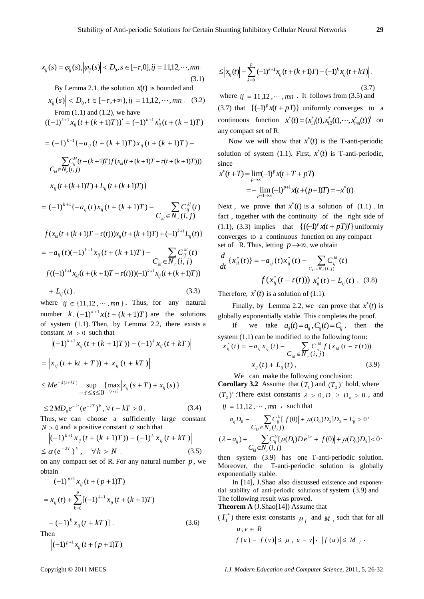$$
x_{ij}(s) = \varphi_{ij}(s), |\varphi_{ij}(s)| < D_0, s \in [-\tau, 0], ij = 11, 12, \cdots, mn.
$$
\n(3.1)

By Lemma 2.1, the solution  $x(t)$  is bounded and

$$
|x_{ij}(s)| < D_0, t \in [-\tau, +\infty), ij = 11, 12, \dots, mn
$$
. (3.2)  
From (1.1) and (1.2), we have

$$
((-1)^{k+1}x_{ij}(t+(k+1)T))' = (-1)^{k+1}x'_{ij}(t+(k+1)T)
$$

$$
= (-1)^{k+1} \{ -a_{ij} (t + (k+1)T) x_{ij} (t + (k+1)T) -
$$

$$
\sum_{k,l} C_{ij}^{kl} (t + (k+1)T) f (x_{kl} (t + (k+1)T - \tau (t + (k+1)T)))
$$

$$
C_{kl} \in N_r(i,j)
$$

$$
x_{ij}(t + (k+1)T) + L_{ij}(t + (k+1)T)
$$

$$
= (-1)^{k+1} \{ -a_{ij}(t)x_{ij}(t + (k+1)T) - \sum_{k} C_{ij}^{kl}(t) \}
$$
  

$$
f(x_{kl}(t + (k+1)T - \tau(t)))x_{ij}(t + (k+1)T) + (-1)^{k+1}L_{ij}(t) \}
$$
  

$$
= -a_{ij}(t)(-1)^{k+1}x_{ij}(t + (k+1)T) - \sum_{k} C_{ij}^{kl}(t)
$$
  

$$
f((-1)^{k+1}x_{kl}(t + (k+1)T - \tau(t)))(-1)^{k+1}x_{ij}(t + (k+1)T))
$$
  

$$
+ L_{ij}(t), \qquad (3.3)
$$

where  $ij \in \{11, 12, \dots, mn\}$ . Thus, for any natural number  $k$ ,  $(-1)^{k+1}x(t+(k+1)T)$  are the solutions of system (1.1). Then, by Lemma 2.2, there exists a constant  $M > 0$  such that

$$
\left| (-1)^{k+1} x_{ij} (t + (k+1)T)) - (-1)^k x_{ij} (t + kT) \right|
$$
  
=  $\left| x_{ij} (t + kt + T)) + x_{ij} (t + kT) \right|$   

$$
\leq Me^{-\lambda(t + kT)} \sup_{-\tau \leq s \leq 0} \{ \max_{(i,j)} \left| x_{ij} (s + T) + x_{ij} (s) \right| \}
$$

$$
\leq 2MD_0 e^{-\lambda t} (e^{-\lambda T})^k, \forall t + kT > 0.
$$
 (3.4)

Thus, we can choose a sufficiently large constant  $N > 0$  and a positive constant  $\alpha$  such that

$$
\left| (-1)^{k+1} x_{ij} (t + (k+1)T) - (-1)^k x_{ij} (t + kT) \right|
$$
  
\n
$$
\le \alpha (e^{-\lambda T})^k, \quad \forall k > N , \qquad (3.5)
$$

on any compact set of R. For any natural number *p*, we obtain

$$
(-1)^{p+1} x_{ij} (t + (p+1)T)
$$
  
=  $x_{ij}(t) + \sum_{k=0}^{p} [(-1)^{k+1} x_{ij} (t + (k+1)T)$   
 $-(-1)^{k} x_{ij} (t + kT) ]$ . (3.6)  
Then

$$
\left| (-1)^{p+1} x_{ij} (t + (p+1)T) \right|
$$

$$
\leq \left| x_{ij}(t) \right| + \sum_{k=0}^{p} \left| (-1)^{k+1} x_{ij}(t + (k+1)T) - (-1)^k x_{ij}(t + kT) \right|,
$$
\n(3.7)

where  $ii = 11.12 \ldots$ ,  $mn$ . It follows from (3.5) and (3.7) that  $\{(-1)^p x(t+pT)\}$  uniformly converges to a continuous function  $x^*(t) = (x_{11}^*(t), x_{12}^*(t), \cdots, x_{mn}^*(t))$ <sup>T</sup> on any compact set of R.

Now we will show that  $x^*(t)$  is the T-anti-periodic solution of system (1.1). First,  $x^*(t)$  is T-anti-periodic, since

$$
x^*(t+T) = \lim_{p \to \infty} (-1)^p x(t+T+pT)
$$
  
= - \lim\_{p+1 \to \infty} (-1)^{p+1} x(t+(p+1)T) = -x^\*(t).

Next, we prove that  $x^*(t)$  is a solution of  $(1.1)$ . In fact , together with the continuity of the right side of (1.1), (3.3) implies that  ${((-1)<sup>p</sup> x(t + pT))'}$  uniformly converges to a continuous function on any compact set of R. Thus, letting  $p \rightarrow \infty$ , we obtain

$$
\frac{d}{dt}\left\{x_{il}^*(t)\right\} = -a_{ij}(t)x_{ij}^*(t) - \sum_{C_{kl} \in N_r(i,j)} C_{ij}^{kl}(t)
$$
\n
$$
f\left(x_{ij}^*(t - \tau(t))\right) x_{ij}^*(t) + L_{ij}(t) \quad (3.8)
$$

Therefore,  $x^*(t)$  is a solution of (1.1).

Finally, by Lemma 2.2, we can prove that  $x^*(t)$  is globally exponentially stable. This completes the proof.

we take  $a_{ij}(t) = a_{ij}$ ,  $C_{ij}(t) = C_{ij}$ , then the system (1.1) can be modified to the following form:  $\sum_{i \in N}$  $\sum_{ii}^{\prime} (t) = -a_{ii} x_{ii} (t) - \sum_{i}^{\prime} C_{ii}^{kl} f (x_{kl} (t (i, j)$  $f(t) = -a_{ii} x_{ii}(t) - \sum_{i}^N C_{ii}^{kl} f(x_{kl}(t - \tau(t)))$  $C_{\mu} \in \overline{N}_{r}$   $(i, j)$  $x'_{ii}(t) = -a_{ii}x_{ii}(t) - \sum_{i} C_{ii}^{kl} f(x_{kl}(t - \tau))$  $_{kl}$   $\subset$  *r*  $\prime$  $\sum_{ij}^{t} (t) = -a_{ij} x_{ij} (t) - \sum_{ij} C_{ij}^{kl} f(x_{kl} (t - t))$  $x_{ii}(t) + L_{ii}(t)$ , (3.9)

We can make the following conclusion:

**Corollary 3.2** Assume that  $(T_1)$  and  $(T_2)'$  hold, where  $(T_2)'$ : There exist constants  $\lambda > 0, D_1 \ge D_0 > 0$ , and  $ij = 11,12,\dots, mn$ , such that

$$
a_{ij}D_0 - \sum_{C_{kl} \in N_r(i,j)} C_{ij}^{kl} [f(0)] + \mu(D_0)D_0]D_0 - L_{ij}^+ > 0
$$
  

$$
(\lambda - a_{ij}) + \sum_{C_{kl} \in N_r(i,j)} C_{ij}^{kl} [\mu(D_i)D_1 e^{\lambda \tau} + |f(0)| + \mu(D_0)D_0] < 0
$$

then system (3.9) has one T-anti-periodic solution. Moreover, the T-anti-periodic solution is globally exponentially stable.

 In [14], J.Shao also discussed existence and exponential stability of anti-periodic solutions of system (3.9) and The following result was proved.

**Theorem A** (J.Shao[14]) Assume that

 $(T_1^*)$  there exist constants  $\mu_f$  and  $M_f$  such that for all  $u, v \in R$ 

$$
\left|f\left(u\right)-\,f\left(v\right)\right|\leq\mu_{f}\left|u-v\right|,\,\,\left|f\left(u\right)\right|\leq M_{f}\;.
$$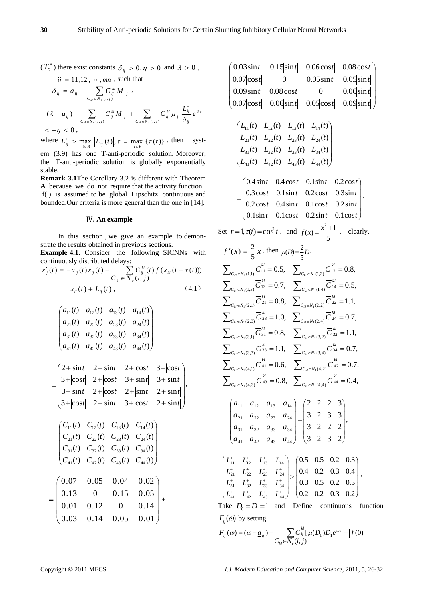$(T_2^*)$  there exist constants  $\delta_{ij} > 0, \eta > 0$  and  $\lambda > 0$ ,

$$
ij = 11,12, \cdots, mn, \text{ such that}
$$
  
\n
$$
\delta_{ij} = a_{ij} - \sum_{C_{kl} \in N_r(i,j)} C_{ij}^{kl} M_f,
$$
  
\n
$$
(\lambda - a_{ij}) + \sum_{C_{kl} \in N_r(i,j)} C_{ij}^{kl} M_f + \sum_{C_{kl} \in N_r(i,j)} C_{ij}^{kl} \mu_f \frac{L_{ij}^+}{\delta_{ij}} e^{\lambda \overline{t}}
$$
  
\n
$$
< -\eta < 0,
$$

where  $L_{ij}^+ > \max_{t \in R} |L_{ij}(t)|$ ,  $\overline{t} = \max_{t \in R} {\{\tau(t)\}}$ . then system (3.9) has one T-anti-periodic solution. Moreover, the T-anti-periodic solution is globally exponentially

stable. **Remark 3.1**The Corollary 3.2 is different with Theorem **A** because we do not require that the activity function  $f(\cdot)$  is assumed to be global Lipschitz continuous and

bounded.Our criteria is more general than the one in [14].

# Ⅳ**. An example**

In this section , we give an example to demonstrate the results obtained in previous sections.

**Example 4.1.** Consider the following SICNNs with continuously distributed delays:

$$
x'_{ij}(t) = -a_{ij}(t)x_{ij}(t) - \sum_{k} C_{ij}^{kl}(t) f(x_{kl}(t - \tau(t)))
$$
  

$$
x_{ij}(t) + L_{ij}(t),
$$
 (4.1)

$$
\begin{pmatrix} a_{11}(t) & a_{12}(t) & a_{13}(t) & a_{14}(t) \\ a_{21}(t) & a_{22}(t) & a_{23}(t) & a_{24}(t) \\ a_{31}(t) & a_{32}(t) & a_{33}(t) & a_{34}(t) \\ a_{41}(t) & a_{42}(t) & a_{43}(t) & a_{44}(t) \end{pmatrix}
$$

$$
= \begin{pmatrix} 2+|\sin t| & 2+|\cos t| & 2+|\cos t| & 3+|\cos t| \\ 3+|\cos t| & 2+|\cos t| & 3+|\sin t| & 3+|\sin t| \\ 3+|\sin t| & 2+|\cos t| & 2+|\sin t| & 2+|\sin t| \\ 3+|\cos t| & 2+|\sin t| & 3+|\cos t| & 2+|\sin t| \end{pmatrix},
$$
  

$$
\begin{pmatrix} C_{11}(t) & C_{12}(t) & C_{13}(t) & C_{14}(t) \\ C_{21}(t) & C_{22}(t) & C_{23}(t) & C_{24}(t) \\ C_{31}(t) & C_{32}(t) & C_{33}(t) & C_{34}(t) \\ C_{41}(t) & C_{42}(t) & C_{43}(t) & C_{44}(t) \end{pmatrix}
$$

| $= \begin{pmatrix} 0.07 & 0.05 & 0.04 & 0.02 \\ 0.13 & 0 & 0.15 & 0.05 \\ 0.01 & 0.12 & 0 & 0.14 \\ 0.03 & 0.14 & 0.05 & 0.01 \end{pmatrix} +$ |  |  |  |
|------------------------------------------------------------------------------------------------------------------------------------------------|--|--|--|
|                                                                                                                                                |  |  |  |
|                                                                                                                                                |  |  |  |
|                                                                                                                                                |  |  |  |

 $\left(C_{41}(t) \quad C_{42}(t) \quad C_{43}(t) \quad C_{44}(t)\right)$ 

| $\begin{bmatrix} 0.03 \sin t & 0.15 \sin t & 0.06 \cos t & 0.08 \cos t \end{bmatrix}$                                                                                                                                                                                                                                                                                                                                                                                              |  |  |  |  |  |  |
|------------------------------------------------------------------------------------------------------------------------------------------------------------------------------------------------------------------------------------------------------------------------------------------------------------------------------------------------------------------------------------------------------------------------------------------------------------------------------------|--|--|--|--|--|--|
|                                                                                                                                                                                                                                                                                                                                                                                                                                                                                    |  |  |  |  |  |  |
| $\begin{array}{ccc} 0.07 \!\cos t  & 0 & 0.05 \!\sin t  & 0.05 \!\sin t  \ 0.09 \!\sin t  & 0.08 \!\cos t  & 0 & 0.06 \!\sin t  \end{array}$                                                                                                                                                                                                                                                                                                                                       |  |  |  |  |  |  |
| $0.07 \cos t $ $0.06 \sin t $ $0.05 \cos t $ $0.09 \sin t $                                                                                                                                                                                                                                                                                                                                                                                                                        |  |  |  |  |  |  |
| $\begin{pmatrix} L_{11}(t) & L_{12}(t) & L_{13}(t) & L_{14}(t) \\ L_{21}(t) & L_{22}(t) & L_{23}(t) & L_{24}(t) \\ L_{31}(t) & L_{32}(t) & L_{33}(t) & L_{34}(t) \\ L_{41}(t) & L_{42}(t) & L_{43}(t) & L_{44}(t) \end{pmatrix}$                                                                                                                                                                                                                                                   |  |  |  |  |  |  |
| $(0.4\sin t \quad 0.4\cos t \quad 0.1\sin t \quad 0.2\cos t)$                                                                                                                                                                                                                                                                                                                                                                                                                      |  |  |  |  |  |  |
| $=\begin{bmatrix} 0.3\cos t & 0.1\sin t & 0.2\cos t & 0.3\sin t \\ 0.2\cos t & 0.4\sin t & 0.1\cos t & 0.2\sin t \\ 0.1\sin t & 0.1\cos t & 0.2\sin t & 0.1\cos t \end{bmatrix}.$                                                                                                                                                                                                                                                                                                  |  |  |  |  |  |  |
|                                                                                                                                                                                                                                                                                                                                                                                                                                                                                    |  |  |  |  |  |  |
|                                                                                                                                                                                                                                                                                                                                                                                                                                                                                    |  |  |  |  |  |  |
| Set $r=1$ , $\tau(t) = \cos^2 t$ , and $f(x) = \frac{x^2 + 1}{5}$ , clearly,                                                                                                                                                                                                                                                                                                                                                                                                       |  |  |  |  |  |  |
| $f'(x) = \frac{2}{5}x$ , then $\mu(D) = \frac{2}{5}D$ .                                                                                                                                                                                                                                                                                                                                                                                                                            |  |  |  |  |  |  |
|                                                                                                                                                                                                                                                                                                                                                                                                                                                                                    |  |  |  |  |  |  |
| $\begin{split} &\sum\nolimits_{C_{kl}\in N_{1}(1,1)} \overline{C}_{11}^{kl}=0.5, \quad \sum\nolimits_{C_{kl}\in N_{1}(1,2)} \overline{C}_{12}^{kl}=0.8,\\ &\sum\nolimits_{C_{kl}\in N_{1}(1,3)} \overline{C}_{13}^{kl}=0.7, \quad \sum\nolimits_{C_{kl}\in N_{1}(1,4)} \overline{C}_{14}^{kl}=0.5,\\ &\sum\nolimits_{C_{kl}\in N_{1}(2,1)} \overline{C}_{21}^{kl}=0.8, \quad \sum\nolimits_{C_{kl}\in N_{1}(2,2)} \overline{C}_{22}^{$                                             |  |  |  |  |  |  |
|                                                                                                                                                                                                                                                                                                                                                                                                                                                                                    |  |  |  |  |  |  |
|                                                                                                                                                                                                                                                                                                                                                                                                                                                                                    |  |  |  |  |  |  |
| $\sum\nolimits_{C_{kl}\in N_{1}(2,3)} \overline{C}^{\, kl}_{\, 23} = 1.0, \quad \sum\nolimits_{C_{kl}\in N_{1}(2,4)} \overline{C}^{\, kl}_{\, 24} = 0.7,$                                                                                                                                                                                                                                                                                                                          |  |  |  |  |  |  |
| $\sum_{C_{kl} \in N_1(3,1)} \overline{C}_{31}^{kl} = 0.8, \quad \sum_{C_{kl} \in N_1(3,2)} \overline{C}_{32}^{kl} = 1.1,$                                                                                                                                                                                                                                                                                                                                                          |  |  |  |  |  |  |
| $\begin{split} &\sum\nolimits_{C_{kl}\in N_{1}(3,3)} \overline{C}_{33}^{kl} = 1.1, \quad \sum\nolimits_{C_{kl}\in N_{1}(3,4)} \overline{C}_{34}^{kl} = 0.7, \\ &\sum\nolimits_{C_{kl}\in N_{1}(4,1)} \overline{C}_{41}^{kl} = 0.6, \quad \sum\nolimits_{C_{kl}\in N_{1}(4,2)} \overline{C}_{42}^{kl} = 0.7, \\ &\quad - \nu I \end{split}$                                                                                                                                         |  |  |  |  |  |  |
|                                                                                                                                                                                                                                                                                                                                                                                                                                                                                    |  |  |  |  |  |  |
| $\sum_{C_{kl}\in N_1(4,3)} \overline{C}_{43}^{kl} = 0.8, \sum_{C_{kl}\in N_1(4,4)} \overline{C}_{44}^{kl} = 0.4,$                                                                                                                                                                                                                                                                                                                                                                  |  |  |  |  |  |  |
|                                                                                                                                                                                                                                                                                                                                                                                                                                                                                    |  |  |  |  |  |  |
| $\begin{pmatrix} \underline{a}_{11} & \underline{a}_{12} & \underline{a}_{13} & \underline{a}_{14} \\ \underline{a}_{21} & \underline{a}_{22} & \underline{a}_{23} & \underline{a}_{24} \\ \underline{a}_{31} & \underline{a}_{32} & \underline{a}_{33} & \underline{a}_{34} \\ \underline{a}_{41} & \underline{a}_{42} & \underline{a}_{43} & \underline{a}_{44} \end{pmatrix} = \begin{pmatrix} 2 & 2 & 2 & 3 \\ 3 & 2 & 3 & 3 \\ 3 & 2 & 2 & 2 \\ 3 & 2 & 3 & 2 \end{pmatrix},$ |  |  |  |  |  |  |
| $\begin{pmatrix} L_{11}^+ & L_{12}^+ & L_{13}^+ & L_{14}^+ \\ L_{21}^+ & L_{22}^+ & L_{23}^+ & L_{24}^+ \\ L_{31}^+ & L_{32}^+ & L_{33}^+ & L_{34}^+ \\ L_{41}^+ & L_{42}^+ & L_{43}^+ & L_{44}^+ \end{pmatrix} > \begin{pmatrix} 0.5 & 0.5 & 0.2 & 0.3 \\ 0.4 & 0.2 & 0.3 & 0.4 \\ 0.3 & 0.5 & 0.2 & 0.3 \\ 0.2 & 0.2 & 0.3$                                                                                                                                                      |  |  |  |  |  |  |
| Take $D_0 = D_1 = 1$ and Define continuous<br>function                                                                                                                                                                                                                                                                                                                                                                                                                             |  |  |  |  |  |  |
| $F_{ii}(\omega)$ by setting                                                                                                                                                                                                                                                                                                                                                                                                                                                        |  |  |  |  |  |  |

$$
F_{ij}(\omega) = (\omega - \underline{a}_{ij}) + \sum_{C_{kl} \in N_r(i,j)} \overline{C}_{ij}^{kl} [\mu(D_1) D_1 e^{\omega \tau} + |f(0)|
$$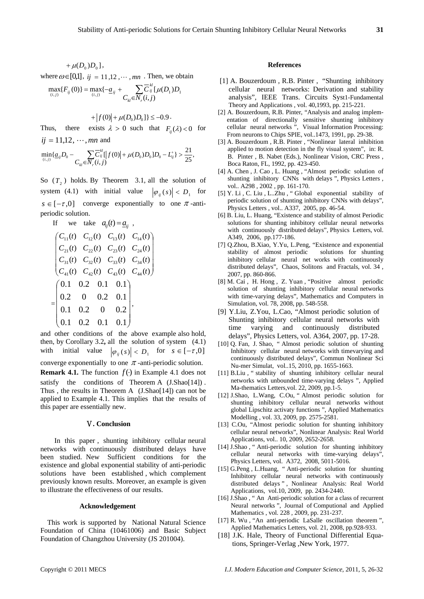$+ \mu(D_0) D_0$ ,

where  $\omega \in [0,1]$ ,  $ij = 11,12, \dots, mn$ . Then, we obtain

$$
\max_{(i,j)} \{F_{ij}(0)\} = \max_{(i,j)} \{-\underline{a}_{ij} + \sum_{C_{kl} \in N_r(i,j)} \overline{C}_{ij}^{kl} [\mu(D_1)D_1
$$

 $+ |f(0)| + \mu(D_0)D_0]$ }  $\leq -0.9$ .

Thus, there exists  $\lambda > 0$  such that  $F_i(\lambda) < 0$  for  $ij = 11,12, \cdots, mn$  and

$$
\min_{(i,j)} \{ \underline{a}_{ij} D_0 - \sum_{C_{kl} \in \mathcal{N}_r(i,j)} \overline{C}_{ij}^{kl} \left[ |f(0)| + \mu(D_0) D_0 \right] D_0 - L_{ij}^+ \} > \frac{21}{25},
$$

So  $(T_2)$  holds. By Theorem 3.1, all the solution of system (4.1) with initial value  $|\varphi_{ij}(s)| < D_1$  for  $s \in [-\tau, 0]$  converge exponentially to one  $\pi$ -antiperiodic solution.

If we take 
$$
a_{ij}(t) = \underline{a}_{ij}
$$
,  
\n
$$
\begin{pmatrix}\nC_{11}(t) & C_{12}(t) & C_{13}(t) & C_{14}(t) \\
C_{21}(t) & C_{22}(t) & C_{23}(t) & C_{24}(t) \\
C_{31}(t) & C_{32}(t) & C_{33}(t) & C_{34}(t) \\
C_{41}(t) & C_{42}(t) & C_{43}(t) & C_{44}(t)\n\end{pmatrix}
$$
\n
$$
= \begin{pmatrix}\n0.1 & 0.2 & 0.1 & 0.1 \\
0.2 & 0 & 0.2 & 0.1 \\
0.1 & 0.2 & 0 & 0.2 \\
0.1 & 0.2 & 0.1 & 0.1\n\end{pmatrix},
$$

and other conditions of the above example also hold, then, by Corollary 3.2**,** all the solution of system (4.1) with initial value  $|\varphi_{ij}(s)| < D_1$  for  $s \in [-\tau, 0]$ converge exponentially to one  $\pi$ -anti-periodic solution. **Remark 4.1.** The function  $f(·)$  in Example 4.1 does not satisfy the conditions of Theorem A (J.Shao[14]). Thus , the results in Theorem A(J.Shao[14]) can not be applied to Example 4.1. This implies that the results of this paper are essentially new.

## Ⅴ**. Conclusion**

In this paper , shunting inhibitory cellular neural networks with continuously distributed delays have been studied. New Sufficient conditions for the existence and global exponential stability of anti-periodic solutions have been established , which complement previously known results. Moreover, an example is given to illustrate the effectiveness of our results.

#### **Acknowledgement**

This work is supported by National Natural Science Foundation of China (10461006) and Basic Subject Foundation of Changzhou University (JS 201004).

#### **References**

- [1] A. Bouzerdoum , R.B. Pinter , "Shunting inhibitory cellular neural networks: Derivation and stability analysis", IEEE Trans. Circuits Syst1-Fundamental Theory and Applications , vol. 40,1993, pp. 215-221.
- [2] A. Bouzerdoum, R.B. Pinter, "Analysis and analog implementation of directionally sensitive shunting inhibitory cellular neural networks ", Visual Information Processing: From neurons to Chips SPIE, vol..1473, 1991, pp. 29-38.
- [3] A. Bouzerdoum , R.B. Pinter , "Nonlinear lateral inhibition applied to motion detection in the fly visual system", in: R. B. Pinter , B. Nabet (Eds.), Nonlinear Vision, CRC Press , Boca Raton, FL, 1992, pp. 423-450.
- [4] A. Chen , J. Cao , L. Huang , "Almost periodic solution of shunting inhibitory CNNs with delays ", Physics Letters , vol.. A298 , 2002 , pp. 161-170.
- [5] Y. Li , C. Liu , L..Zhu , " Global exponential stability of periodic solution of shunting inhibitory CNNs with delays", Physics Letters , vol.. A337, 2005, pp. 46-54.
- [6] B. Liu, L. Huang, "Existence and stability of almost Periodic solutions for shunting inhibitory cellular neural networks with continuously distributed delays", Physics Letters, vol. A349, 2006, pp.177-186.
- [7] Q.Zhou, B.Xiao, Y.Yu, L.Peng, "Existence and exponential stability of almost periodic solutions for shunting inhibitory cellular neural net works with continuously distributed delays", Chaos, Solitons and Fractals, vol. 34 , 2007, pp. 860-866.
- [8] M. Cai , H. Hong , Z. Yuan , "Positive almost periodic solution of shunting inhibitory cellular neural networks with time-varying delays", Mathematics and Computers in Simulation, vol. 78, 2008, pp. 548-558.
- [9] Y.Liu, Z.You, L.Cao, "Almost periodic solution of Shunting inhibitory cellular neural networks with time varying and continuously distributed delays", Physics Letters, vol. A364, 2007, pp. 17-28.
- [10] Q. Fan, J. Shao, " Almost periodic solution of shunting Inhibitory cellular neural networks with timevarying and continuously distributed delays", Commun Nonlinear Sci Nu-mer Simulat, vol..15, 2010, pp. 1655-1663.
- [11] B.Liu , " stability of shunting inhibitory cellular neural networks with unbounded time-varying delays ", Applied Ma-thematics Letters,vol. 22, 2009, pp.1-5.
- [12] J.Shao, L.Wang, C.Ou, " Almost periodic solution for shunting inhibitory cellular neural networks without global Lipschitz activaty functions ", Applied Mathematics Modelling , vol. 33, 2009, pp. 2575-2581.
- [13] C.Ou, "Almost periodic solution for shunting inhibitory cellular neural networks", Nonlinear Analysis: Real World Applications, vol.. 10, 2009, 2652-2658.
- [14] J.Shao , " Anti-periodic solution for shunting inhibitory cellular neural networks with time-varying delays", Physics Letters, vol. A372, 2008, 5011-5016.
- [15] G.Peng , L.Huang, " Anti-periodic solution for shunting Inhibitory cellular neural networks with continuously distributed delays " , Nonlinear Analysis: Real World Applications, vol.10, 2009, pp. 2434-2440.
- [16] J.Shao , " An Anti-periodic solution for a class of recurrent Neural networks ", Journal of Computional and Applied Mathematics , vol. 228 , 2009, pp. 231-237.
- [17] R. Wu , "An anti-periodic LaSalle oscillation theorem ", Applied Mathematics Letters, vol. 21, 2008, pp.928-933.
- [18] J.K. Hale, Theory of Functional Differential Equations, Springer-Verlag ,New York, 1977.